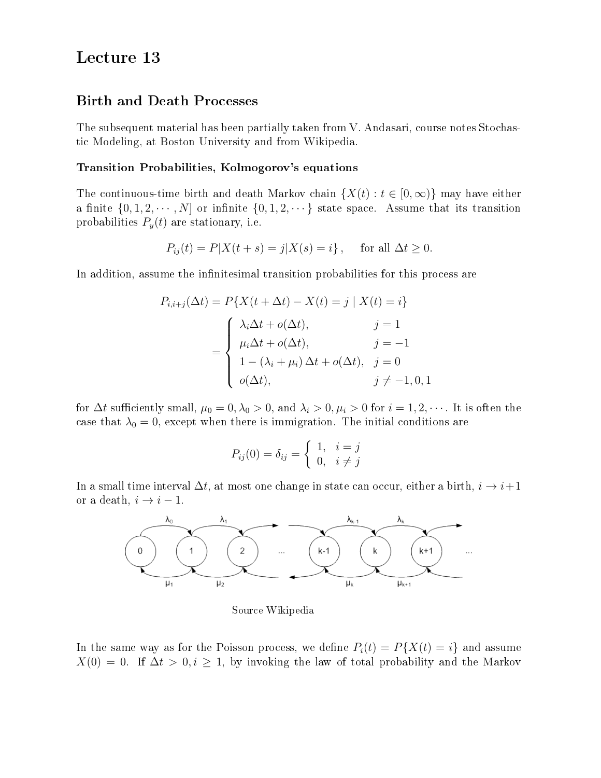# Lecture 13

# Birth and Death Processes

The subsequent material has been partially taken from V. Andasari, course notes Stochastic Modeling, at Boston University and from Wikipedia.

## Transition Probabilities, Kolmogorov's equations

The continuous-time birth and death Markov chain  $\{X(t): t \in [0, \infty)\}\$  may have either a finite  $\{0, 1, 2, \cdots, N\}$  or infinite  $\{0, 1, 2, \cdots\}$  state space. Assume that its transition probabilities  $P_y(t)$  are stationary, i.e.

$$
P_{ij}(t) = P|X(t+s) = j|X(s) = i\}, \text{ for all } \Delta t \ge 0.
$$

In addition, assume the infinitesimal transition probabilities for this process are

$$
P_{i,i+j}(\Delta t) = P\{X(t + \Delta t) - X(t) = j \mid X(t) = i\}
$$

$$
= \begin{cases} \lambda_i \Delta t + o(\Delta t), & j = 1\\ \mu_i \Delta t + o(\Delta t), & j = -1\\ 1 - (\lambda_i + \mu_i) \Delta t + o(\Delta t), & j = 0\\ o(\Delta t), & j \neq -1, 0, 1 \end{cases}
$$

for  $\Delta t$  sufficiently small,  $\mu_0 = 0, \lambda_0 > 0$ , and  $\lambda_i > 0, \mu_i > 0$  for  $i = 1, 2, \cdots$ . It is often the case that  $\lambda_0 = 0$ , except when there is immigration. The initial conditions are

$$
P_{ij}(0) = \delta_{ij} = \begin{cases} 1, & i = j \\ 0, & i \neq j \end{cases}
$$

In a small time interval  $\Delta t$ , at most one change in state can occur, either a birth,  $i \to i+1$ or a death,  $i \rightarrow i - 1$ .



Source Wikipedia

In the same way as for the Poisson process, we define  $P_i(t) = P\{X(t) = i\}$  and assume  $X(0) = 0$ . If  $\Delta t > 0, i \ge 1$ , by invoking the law of total probability and the Markov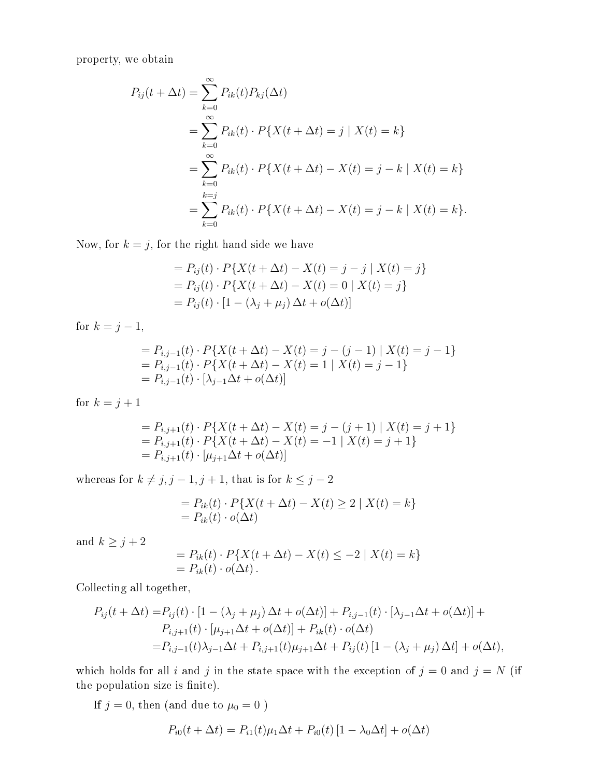property, we obtain

$$
P_{ij}(t + \Delta t) = \sum_{k=0}^{\infty} P_{ik}(t) P_{kj}(\Delta t)
$$
  
= 
$$
\sum_{k=0}^{\infty} P_{ik}(t) \cdot P\{X(t + \Delta t) = j \mid X(t) = k\}
$$
  
= 
$$
\sum_{k=0}^{\infty} P_{ik}(t) \cdot P\{X(t + \Delta t) - X(t) = j - k \mid X(t) = k\}
$$
  
= 
$$
\sum_{k=0}^{k=j} P_{ik}(t) \cdot P\{X(t + \Delta t) - X(t) = j - k \mid X(t) = k\}.
$$

Now, for  $k = j$ , for the right hand side we have

$$
= P_{ij}(t) \cdot P\{X(t + \Delta t) - X(t) = j - j | X(t) = j\}
$$
  
=  $P_{ij}(t) \cdot P\{X(t + \Delta t) - X(t) = 0 | X(t) = j\}$   
=  $P_{ij}(t) \cdot [1 - (\lambda_j + \mu_j) \Delta t + o(\Delta t)]$ 

for  $k = j - 1$ ,

$$
= P_{i,j-1}(t) \cdot P\{X(t + \Delta t) - X(t) = j - (j-1) | X(t) = j-1\}
$$
  
=  $P_{i,j-1}(t) \cdot P\{X(t + \Delta t) - X(t) = 1 | X(t) = j-1\}$   
=  $P_{i,j-1}(t) \cdot [\lambda_{j-1} \Delta t + o(\Delta t)]$ 

for  $k = j + 1$ 

$$
= P_{i,j+1}(t) \cdot P\{X(t + \Delta t) - X(t) = j - (j+1) | X(t) = j+1\}
$$
  
=  $P_{i,j+1}(t) \cdot P\{X(t + \Delta t) - X(t) = -1 | X(t) = j+1\}$   
=  $P_{i,j+1}(t) \cdot [\mu_{j+1}\Delta t + o(\Delta t)]$ 

whereas for  $k \neq j$ ,  $j - 1$ ,  $j + 1$ , that is for  $k \leq j - 2$ 

$$
= P_{ik}(t) \cdot P\{X(t + \Delta t) - X(t) \ge 2 \mid X(t) = k\}
$$
  
=  $P_{ik}(t) \cdot o(\Delta t)$ 

and  $k\geq j+2$ 

$$
= P_{ik}(t) \cdot P\{X(t + \Delta t) - X(t) \le -2 \mid X(t) = k\}
$$
  
= 
$$
P_{ik}(t) \cdot o(\Delta t).
$$

Collecting all together,

$$
P_{ij}(t + \Delta t) = P_{ij}(t) \cdot [1 - (\lambda_j + \mu_j) \Delta t + o(\Delta t)] + P_{i,j-1}(t) \cdot [\lambda_{j-1} \Delta t + o(\Delta t)] + P_{i,j+1}(t) \cdot [\mu_{j+1} \Delta t + o(\Delta t)] + P_{ik}(t) \cdot o(\Delta t) = P_{i,j-1}(t)\lambda_{j-1} \Delta t + P_{i,j+1}(t)\mu_{j+1} \Delta t + P_{ij}(t) [1 - (\lambda_j + \mu_j) \Delta t] + o(\Delta t),
$$

which holds for all i and j in the state space with the exception of  $j = 0$  and  $j = N$  (if the population size is finite).

If  $j=0,$  then (and due to  $\mu_0=0$  )

$$
P_{i0}(t + \Delta t) = P_{i1}(t)\mu_1 \Delta t + P_{i0}(t)[1 - \lambda_0 \Delta t] + o(\Delta t)
$$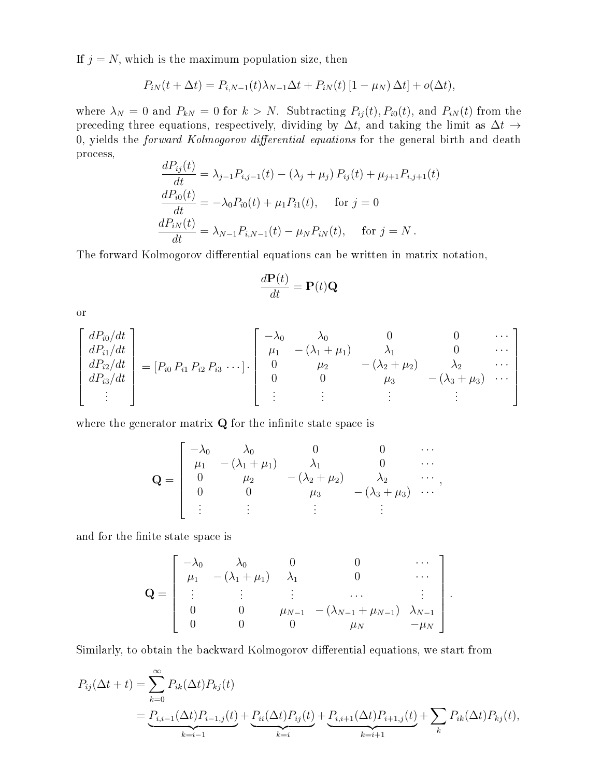If  $j = N$ , which is the maximum population size, then

$$
P_{iN}(t + \Delta t) = P_{i,N-1}(t)\lambda_{N-1}\Delta t + P_{iN}(t)[1 - \mu_N)\Delta t] + o(\Delta t),
$$

where  $\lambda_N = 0$  and  $P_{kN} = 0$  for  $k > N$ . Subtracting  $P_{ij}(t)$ ,  $P_{i0}(t)$ , and  $P_{iN}(t)$  from the preceding three equations, respectively, dividing by  $\Delta t$ , and taking the limit as  $\Delta t \rightarrow$ 0, yields the *forward Kolmogorov differential equations* for the general birth and death process,

$$
\frac{dP_{ij}(t)}{dt} = \lambda_{j-1} P_{i,j-1}(t) - (\lambda_j + \mu_j) P_{ij}(t) + \mu_{j+1} P_{i,j+1}(t)
$$
  
\n
$$
\frac{dP_{i0}(t)}{dt} = -\lambda_0 P_{i0}(t) + \mu_1 P_{i1}(t), \quad \text{for } j = 0
$$
  
\n
$$
\frac{dP_{iN}(t)}{dt} = \lambda_{N-1} P_{i,N-1}(t) - \mu_N P_{iN}(t), \quad \text{for } j = N.
$$

The forward Kolmogorov differential equations can be written in matrix notation,

$$
\frac{d\mathbf{P}(t)}{dt} = \mathbf{P}(t)\mathbf{Q}
$$

or

$$
\begin{bmatrix}\ndP_{i0}/dt \\
dP_{i1}/dt \\
dP_{i2}/dt \\
dP_{i3}/dt \\
\vdots\n\end{bmatrix} = [P_{i0} P_{i1} P_{i2} P_{i3} \cdots ] \cdot \begin{bmatrix}\n-\lambda_0 & \lambda_0 & 0 & 0 & \cdots \\
\mu_1 & -(\lambda_1 + \mu_1) & \lambda_1 & 0 & \cdots \\
0 & \mu_2 & -(\lambda_2 + \mu_2) & \lambda_2 & \cdots \\
0 & 0 & \mu_3 & -(\lambda_3 + \mu_3) & \cdots \\
\vdots & \vdots & \vdots & \vdots & \ddots\n\end{bmatrix}
$$

where the generator matrix  $Q$  for the infinite state space is

$$
\mathbf{Q} = \begin{bmatrix} -\lambda_0 & \lambda_0 & 0 & 0 & \cdots \\ \mu_1 & -(\lambda_1 + \mu_1) & \lambda_1 & 0 & \cdots \\ 0 & \mu_2 & -(\lambda_2 + \mu_2) & \lambda_2 & \cdots \\ 0 & 0 & \mu_3 & -(\lambda_3 + \mu_3) & \cdots \end{bmatrix},
$$

and for the finite state space is

$$
\mathbf{Q} = \begin{bmatrix} -\lambda_0 & \lambda_0 & 0 & 0 & \cdots \\ \mu_1 & -(\lambda_1 + \mu_1) & \lambda_1 & 0 & \cdots \\ \vdots & \vdots & \vdots & \cdots & \vdots \\ 0 & 0 & \mu_{N-1} & -(\lambda_{N-1} + \mu_{N-1}) & \lambda_{N-1} \\ 0 & 0 & 0 & \mu_N & -\mu_N \end{bmatrix}.
$$

Similarly, to obtain the backward Kolmogorov differential equations, we start from

$$
P_{ij}(\Delta t + t) = \sum_{k=0}^{\infty} P_{ik}(\Delta t) P_{kj}(t)
$$
  
= 
$$
\underbrace{P_{i,i-1}(\Delta t) P_{i-1,j}(t)}_{k=i-1} + \underbrace{P_{ii}(\Delta t) P_{ij}(t)}_{k=i} + \underbrace{P_{i,i+1}(\Delta t) P_{i+1,j}(t)}_{k=i+1} + \sum_{k} P_{ik}(\Delta t) P_{kj}(t),
$$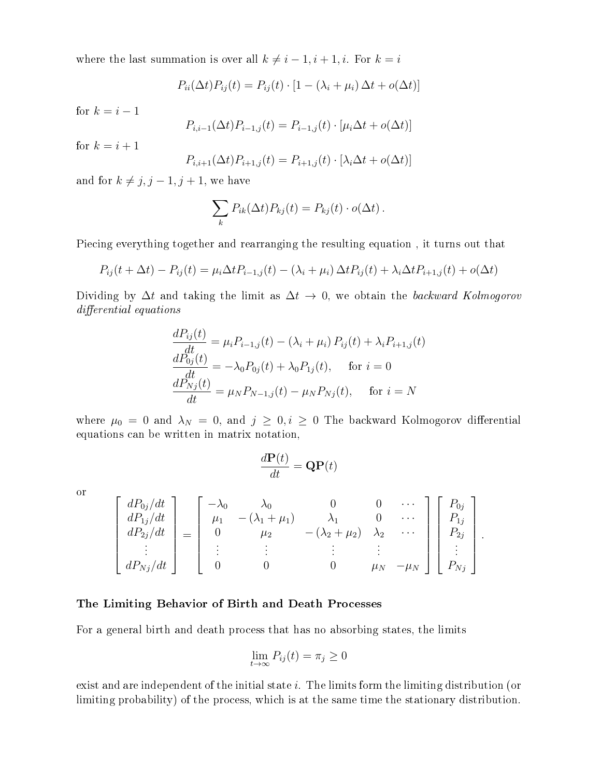where the last summation is over all  $k \neq i - 1, i + 1, i.$  For  $k = i$ 

$$
P_{ii}(\Delta t)P_{ij}(t) = P_{ij}(t) \cdot [1 - (\lambda_i + \mu_i) \Delta t + o(\Delta t)]
$$

for  $k = i - 1$ 

$$
P_{i,i-1}(\Delta t)P_{i-1,j}(t) = P_{i-1,j}(t) \cdot [\mu_i \Delta t + o(\Delta t)]
$$

for  $k = i + 1$ 

$$
P_{i,i+1}(\Delta t)P_{i+1,j}(t) = P_{i+1,j}(t) \cdot [\lambda_i \Delta t + o(\Delta t)]
$$

and for  $k \neq j, j - 1, j + 1$ , we have

$$
\sum_{k} P_{ik}(\Delta t) P_{kj}(t) = P_{kj}(t) \cdot o(\Delta t).
$$

Piecing everything together and rearranging the resulting equation , it turns out that

$$
P_{ij}(t + \Delta t) - P_{ij}(t) = \mu_i \Delta t P_{i-1,j}(t) - (\lambda_i + \mu_i) \Delta t P_{ij}(t) + \lambda_i \Delta t P_{i+1,j}(t) + o(\Delta t)
$$

Dividing by  $\Delta t$  and taking the limit as  $\Delta t \rightarrow 0$ , we obtain the backward Kolmogorov differential equations

$$
\frac{dP_{ij}(t)}{dt} = \mu_i P_{i-1,j}(t) - (\lambda_i + \mu_i) P_{ij}(t) + \lambda_i P_{i+1,j}(t)
$$
  
\n
$$
\frac{dP_{0j}(t)}{dt} = -\lambda_0 P_{0j}(t) + \lambda_0 P_{1j}(t), \quad \text{for } i = 0
$$
  
\n
$$
\frac{dP_{Nj}(t)}{dt} = \mu_N P_{N-1,j}(t) - \mu_N P_{Nj}(t), \quad \text{for } i = N
$$

where  $\mu_0 = 0$  and  $\lambda_N = 0$ , and  $j \geq 0$ ,  $i \geq 0$  The backward Kolmogorov differential equations can be written in matrix notation,

$$
\frac{d\mathbf{P}(t)}{dt} = \mathbf{Q}\mathbf{P}(t)
$$

or

$$
\begin{bmatrix}\ndP_{0j}/dt \\
dP_{1j}/dt \\
dP_{2j}/dt \\
\vdots \\
dP_{Nj}/dt\n\end{bmatrix} = \begin{bmatrix}\n-\lambda_0 & \lambda_0 & 0 & 0 & \cdots \\
\mu_1 & -(\lambda_1 + \mu_1) & \lambda_1 & 0 & \cdots \\
0 & \mu_2 & -(\lambda_2 + \mu_2) & \lambda_2 & \cdots \\
\vdots & \vdots & \vdots & \vdots \\
0 & 0 & 0 & \mu_N & -\mu_N\n\end{bmatrix} \begin{bmatrix}\nP_{0j} \\
P_{1j} \\
P_{2j} \\
\vdots \\
P_{Nj}\n\end{bmatrix}.
$$

#### The Limiting Behavior of Birth and Death Processes

For a general birth and death process that has no absorbing states, the limits

$$
\lim_{t \to \infty} P_{ij}(t) = \pi_j \ge 0
$$

exist and are independent of the initial state  $i$ . The limits form the limiting distribution (or limiting probability) of the process, which is at the same time the stationary distribution.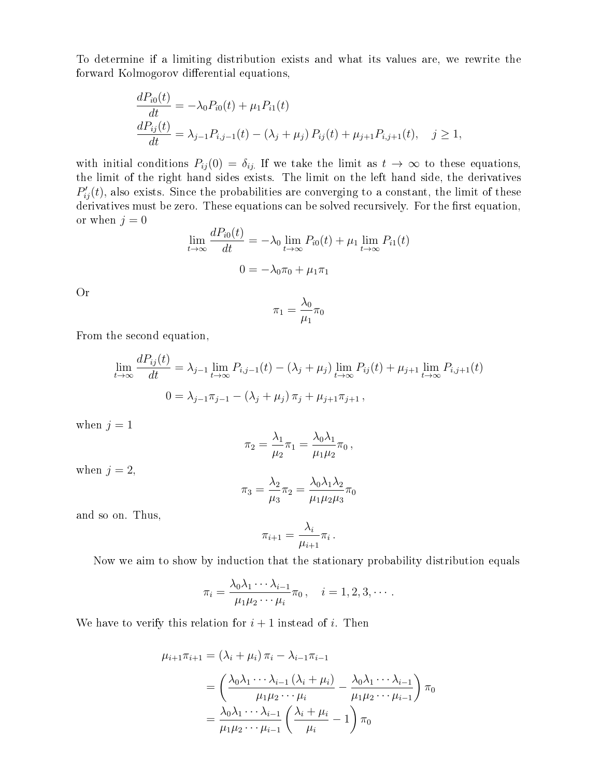To determine if a limiting distribution exists and what its values are, we rewrite the forward Kolmogorov differential equations,

$$
\frac{dP_{i0}(t)}{dt} = -\lambda_0 P_{i0}(t) + \mu_1 P_{i1}(t)
$$
\n
$$
\frac{dP_{ij}(t)}{dt} = \lambda_{j-1} P_{i,j-1}(t) - (\lambda_j + \mu_j) P_{ij}(t) + \mu_{j+1} P_{i,j+1}(t), \quad j \ge 1,
$$

with initial conditions  $P_{ij}(0) = \delta_{ij}$ . If we take the limit as  $t \to \infty$  to these equations, the limit of the right hand sides exists. The limit on the left hand side, the derivatives  $P'_{ij}(t)$ , also exists. Since the probabilities are converging to a constant, the limit of these derivatives must be zero. These equations can be solved recursively. For the first equation, or when  $j = 0$  $\overline{D}(t)$ 

$$
\lim_{t \to \infty} \frac{dP_{i0}(t)}{dt} = -\lambda_0 \lim_{t \to \infty} P_{i0}(t) + \mu_1 \lim_{t \to \infty} P_{i1}(t)
$$

$$
0 = -\lambda_0 \pi_0 + \mu_1 \pi_1
$$

Or

$$
\pi_1=\frac{\lambda_0}{\mu_1}\pi_0
$$

From the second equation,

$$
\lim_{t \to \infty} \frac{dP_{ij}(t)}{dt} = \lambda_{j-1} \lim_{t \to \infty} P_{i,j-1}(t) - (\lambda_j + \mu_j) \lim_{t \to \infty} P_{ij}(t) + \mu_{j+1} \lim_{t \to \infty} P_{i,j+1}(t)
$$
  

$$
0 = \lambda_{j-1} \pi_{j-1} - (\lambda_j + \mu_j) \pi_j + \mu_{j+1} \pi_{j+1},
$$

when  $j = 1$ 

$$
\pi_2=\frac{\lambda_1}{\mu_2}\pi_1=\frac{\lambda_0\lambda_1}{\mu_1\mu_2}\pi_0\,,
$$

when  $j = 2$ ,

$$
\pi_3 = \frac{\lambda_2}{\mu_3} \pi_2 = \frac{\lambda_0 \lambda_1 \lambda_2}{\mu_1 \mu_2 \mu_3} \pi_0
$$

and so on. Thus,

$$
\pi_{i+1} = \frac{\lambda_i}{\mu_{i+1}} \pi_i \, .
$$

Now we aim to show by induction that the stationary probability distribution equals

$$
\pi_i = \frac{\lambda_0 \lambda_1 \cdots \lambda_{i-1}}{\mu_1 \mu_2 \cdots \mu_i} \pi_0, \quad i = 1, 2, 3, \cdots.
$$

We have to verify this relation for  $i + 1$  instead of i. Then

$$
\mu_{i+1}\pi_{i+1} = (\lambda_i + \mu_i)\pi_i - \lambda_{i-1}\pi_{i-1}
$$

$$
= \left(\frac{\lambda_0\lambda_1 \cdots \lambda_{i-1} (\lambda_i + \mu_i)}{\mu_1\mu_2 \cdots \mu_i} - \frac{\lambda_0\lambda_1 \cdots \lambda_{i-1}}{\mu_1\mu_2 \cdots \mu_{i-1}}\right)\pi_0
$$

$$
= \frac{\lambda_0\lambda_1 \cdots \lambda_{i-1}}{\mu_1\mu_2 \cdots \mu_{i-1}} \left(\frac{\lambda_i + \mu_i}{\mu_i} - 1\right)\pi_0
$$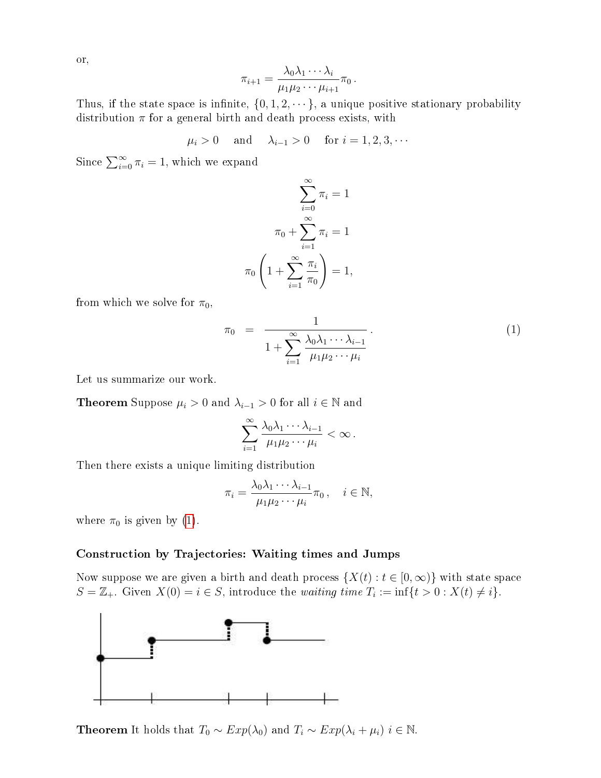or,

$$
\pi_{i+1} = \frac{\lambda_0 \lambda_1 \cdots \lambda_i}{\mu_1 \mu_2 \cdots \mu_{i+1}} \pi_0.
$$

Thus, if the state space is infinite,  $\{0, 1, 2, \dots\}$ , a unique positive stationary probability distribution  $\pi$  for a general birth and death process exists, with

$$
\mu_i > 0
$$
 and  $\lambda_{i-1} > 0$  for  $i = 1, 2, 3, \cdots$ 

Since  $\sum_{i=0}^{\infty} \pi_i = 1$ , which we expand

$$
\sum_{i=0}^{\infty} \pi_i = 1
$$

$$
\pi_0 + \sum_{i=1}^{\infty} \pi_i = 1
$$

$$
\pi_0 \left( 1 + \sum_{i=1}^{\infty} \frac{\pi_i}{\pi_0} \right) = 1,
$$

from which we solve for  $\pi_0$ ,

<span id="page-5-0"></span>
$$
\pi_0 = \frac{1}{1 + \sum_{i=1}^{\infty} \frac{\lambda_0 \lambda_1 \cdots \lambda_{i-1}}{\mu_1 \mu_2 \cdots \mu_i}}.
$$
\n(1)

Let us summarize our work.

**Theorem** Suppose  $\mu_i > 0$  and  $\lambda_{i-1} > 0$  for all  $i \in \mathbb{N}$  and

$$
\sum_{i=1}^{\infty} \frac{\lambda_0 \lambda_1 \cdots \lambda_{i-1}}{\mu_1 \mu_2 \cdots \mu_i} < \infty.
$$

Then there exists a unique limiting distribution

$$
\pi_i = \frac{\lambda_0 \lambda_1 \cdots \lambda_{i-1}}{\mu_1 \mu_2 \cdots \mu_i} \pi_0, \quad i \in \mathbb{N},
$$

where  $\pi_0$  is given by [\(1\)](#page-5-0).

### Construction by Trajectories: Waiting times and Jumps

Now suppose we are given a birth and death process  $\{X(t): t \in [0, \infty)\}\$  with state space  $S = \mathbb{Z}_+$ . Given  $X(0) = i \in S$ , introduce the *waiting time*  $T_i := \inf\{t > 0 : X(t) \neq i\}.$ 



**Theorem** It holds that  $T_0 \sim Exp(\lambda_0)$  and  $T_i \sim Exp(\lambda_i + \mu_i)$  i ∈ N.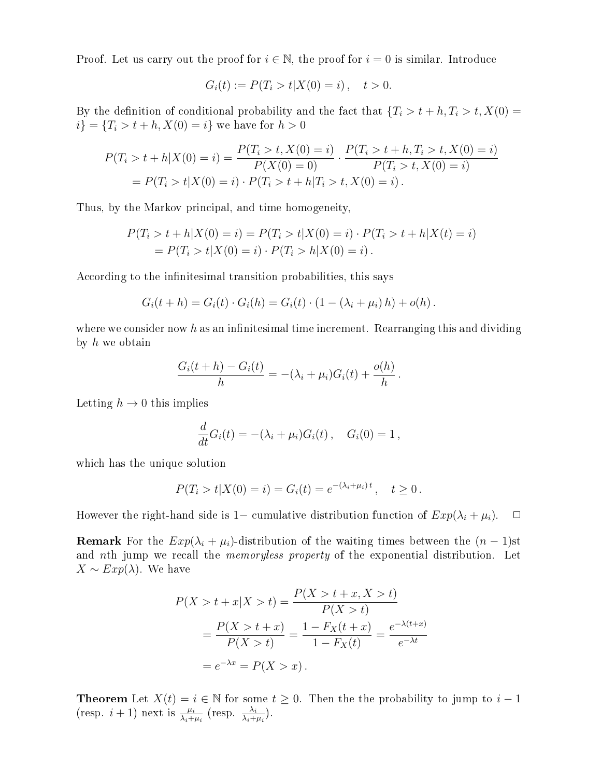Proof. Let us carry out the proof for  $i \in \mathbb{N}$ , the proof for  $i = 0$  is similar. Introduce

$$
G_i(t) := P(T_i > t | X(0) = i), \quad t > 0.
$$

By the definition of conditional probability and the fact that  $\{T_i > t + h, T_i > t, X(0) =$  $i$ } = { $T_i > t + h, X(0) = i$ } we have for  $h > 0$ 

$$
P(T_i > t + h|X(0) = i) = \frac{P(T_i > t, X(0) = i)}{P(X(0) = 0)} \cdot \frac{P(T_i > t + h, T_i > t, X(0) = i)}{P(T_i > t, X(0) = i)}
$$
  
= 
$$
P(T_i > t | X(0) = i) \cdot P(T_i > t + h | T_i > t, X(0) = i).
$$

Thus, by the Markov principal, and time homogeneity,

$$
P(T_i > t + h|X(0) = i) = P(T_i > t|X(0) = i) \cdot P(T_i > t + h|X(t) = i)
$$
  
= 
$$
P(T_i > t|X(0) = i) \cdot P(T_i > h|X(0) = i).
$$

According to the infinitesimal transition probabilities, this says

$$
G_i(t + h) = G_i(t) \cdot G_i(h) = G_i(t) \cdot (1 - (\lambda_i + \mu_i) h) + o(h).
$$

where we consider now h as an infinitesimal time increment. Rearranging this and dividing by  $h$  we obtain

$$
\frac{G_i(t+h) - G_i(t)}{h} = -(\lambda_i + \mu_i)G_i(t) + \frac{o(h)}{h}.
$$

Letting  $h \to 0$  this implies

$$
\frac{d}{dt}G_i(t) = -(\lambda_i + \mu_i)G_i(t), \quad G_i(0) = 1,
$$

which has the unique solution

$$
P(T_i > t | X(0) = i) = G_i(t) = e^{-(\lambda_i + \mu_i)t}, \quad t \ge 0.
$$

However the right-hand side is 1– cumulative distribution function of  $Exp(\lambda_i + \mu_i)$ .  $\Box$ 

**Remark** For the  $Exp(\lambda_i + \mu_i)$ -distribution of the waiting times between the  $(n-1)$ st and nth jump we recall the *memoryless property* of the exponential distribution. Let  $X \sim Exp(\lambda)$ . We have

$$
P(X > t + x | X > t) = \frac{P(X > t + x, X > t)}{P(X > t)}
$$
  
= 
$$
\frac{P(X > t + x)}{P(X > t)} = \frac{1 - F_X(t + x)}{1 - F_X(t)} = \frac{e^{-\lambda(t + x)}}{e^{-\lambda t}}
$$
  
= 
$$
e^{-\lambda x} = P(X > x).
$$

**Theorem** Let  $X(t) = i \in \mathbb{N}$  for some  $t \geq 0$ . Then the the probability to jump to  $i - 1$ (resp.  $i+1$ ) next is  $\frac{\mu_i}{\lambda_i+\mu_i}$  (resp.  $\frac{\lambda_i}{\lambda_i+\mu_i}$ ).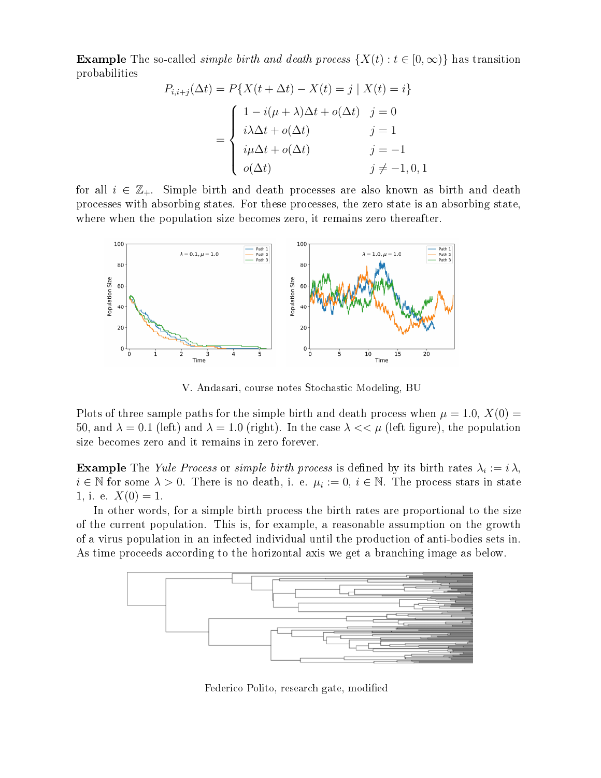**Example** The so-called *simple birth and death process*  $\{X(t): t \in [0, \infty)\}\$  has transition probabilities

$$
P_{i,i+j}(\Delta t) = P\{X(t + \Delta t) - X(t) = j \mid X(t) = i\}
$$

$$
= \begin{cases} 1 - i(\mu + \lambda)\Delta t + o(\Delta t) & j = 0\\ i\lambda\Delta t + o(\Delta t) & j = 1\\ i\mu\Delta t + o(\Delta t) & j = -1\\ o(\Delta t) & j \neq -1, 0, 1 \end{cases}
$$

for all  $i \in \mathbb{Z}_+$ . Simple birth and death processes are also known as birth and death processes with absorbing states. For these processes, the zero state is an absorbing state, where when the population size becomes zero, it remains zero thereafter.



V. Andasari, course notes Stochastic Modeling, BU

Plots of three sample paths for the simple birth and death process when  $\mu = 1.0, X(0) =$ 50, and  $\lambda = 0.1$  (left) and  $\lambda = 1.0$  (right). In the case  $\lambda \ll \mu$  (left figure), the population size becomes zero and it remains in zero forever.

**Example** The Yule Process or simple birth process is defined by its birth rates  $\lambda_i := i \lambda$ ,  $i \in \mathbb{N}$  for some  $\lambda > 0$ . There is no death, i. e.  $\mu_i := 0$ ,  $i \in \mathbb{N}$ . The process stars in state 1, i. e.  $X(0) = 1$ .

In other words, for a simple birth process the birth rates are proportional to the size of the current population. This is, for example, a reasonable assumption on the growth of a virus population in an infected individual until the production of anti-bodies sets in. As time proceeds according to the horizontal axis we get a branching image as below.



Federico Polito, research gate, modified